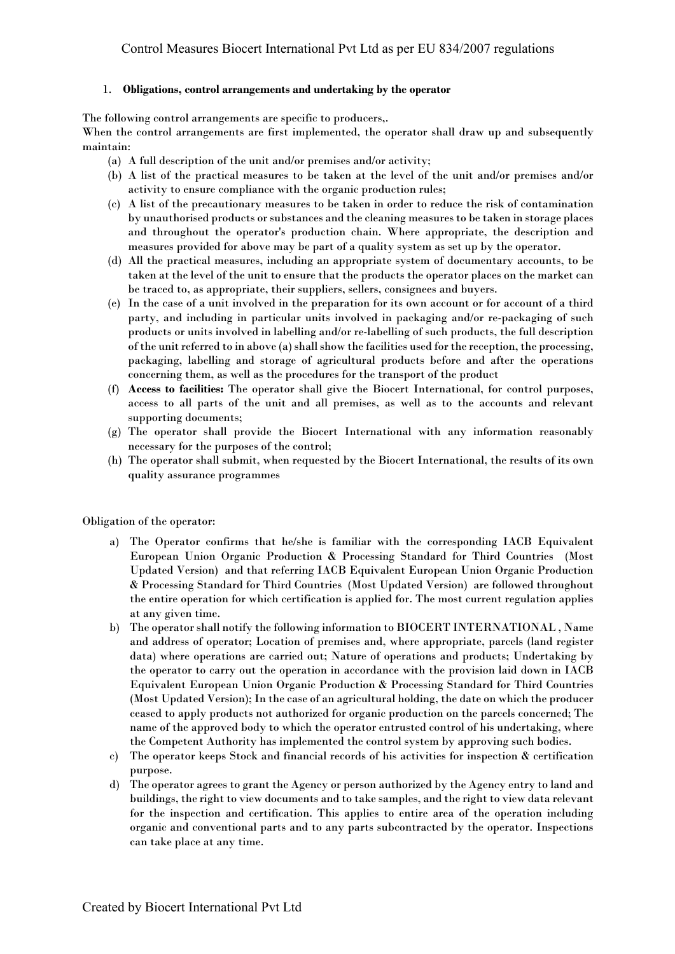#### 1. **Obligations, control arrangements and undertaking by the operator**

The following control arrangements are specific to producers,.

When the control arrangements are first implemented, the operator shall draw up and subsequently maintain:

- (a) A full description of the unit and/or premises and/or activity;
- (b) A list of the practical measures to be taken at the level of the unit and/or premises and/or activity to ensure compliance with the organic production rules;
- (c) A list of the precautionary measures to be taken in order to reduce the risk of contamination by unauthorised products or substances and the cleaning measures to be taken in storage places and throughout the operator's production chain. Where appropriate, the description and measures provided for above may be part of a quality system as set up by the operator.
- (d) All the practical measures, including an appropriate system of documentary accounts, to be taken at the level of the unit to ensure that the products the operator places on the market can be traced to, as appropriate, their suppliers, sellers, consignees and buyers.
- (e) In the case of a unit involved in the preparation for its own account or for account of a third party, and including in particular units involved in packaging and/or re-packaging of such products or units involved in labelling and/or re-labelling of such products, the full description of the unit referred to in above (a) shall show the facilities used for the reception, the processing, packaging, labelling and storage of agricultural products before and after the operations concerning them, as well as the procedures for the transport of the product
- (f) **Access to facilities:** The operator shall give the Biocert International, for control purposes, access to all parts of the unit and all premises, as well as to the accounts and relevant supporting documents;
- (g) The operator shall provide the Biocert International with any information reasonably necessary for the purposes of the control;
- (h) The operator shall submit, when requested by the Biocert International, the results of its own quality assurance programmes

Obligation of the operator:

- a) The Operator confirms that he/she is familiar with the corresponding IACB Equivalent European Union Organic Production & Processing Standard for Third Countries (Most Updated Version) and that referring IACB Equivalent European Union Organic Production & Processing Standard for Third Countries (Most Updated Version) are followed throughout the entire operation for which certification is applied for. The most current regulation applies at any given time.
- b) The operator shall notify the following information to BIOCERT INTERNATIONAL , Name and address of operator; Location of premises and, where appropriate, parcels (land register data) where operations are carried out; Nature of operations and products; Undertaking by the operator to carry out the operation in accordance with the provision laid down in IACB Equivalent European Union Organic Production & Processing Standard for Third Countries (Most Updated Version); In the case of an agricultural holding, the date on which the producer ceased to apply products not authorized for organic production on the parcels concerned; The name of the approved body to which the operator entrusted control of his undertaking, where the Competent Authority has implemented the control system by approving such bodies.
- c) The operator keeps Stock and financial records of his activities for inspection & certification purpose.
- d) The operator agrees to grant the Agency or person authorized by the Agency entry to land and buildings, the right to view documents and to take samples, and the right to view data relevant for the inspection and certification. This applies to entire area of the operation including organic and conventional parts and to any parts subcontracted by the operator. Inspections can take place at any time.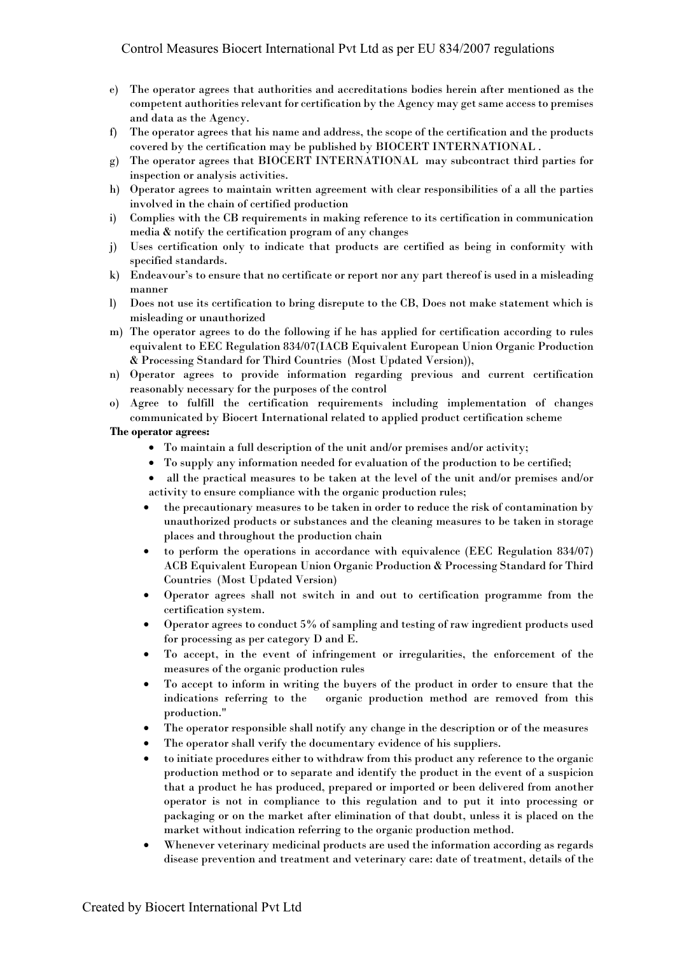- e) The operator agrees that authorities and accreditations bodies herein after mentioned as the competent authorities relevant for certification by the Agency may get same access to premises and data as the Agency.
- f) The operator agrees that his name and address, the scope of the certification and the products covered by the certification may be published by BIOCERT INTERNATIONAL .
- g) The operator agrees that BIOCERT INTERNATIONAL may subcontract third parties for inspection or analysis activities.
- h) Operator agrees to maintain written agreement with clear responsibilities of a all the parties involved in the chain of certified production
- i) Complies with the CB requirements in making reference to its certification in communication media & notify the certification program of any changes
- j) Uses certification only to indicate that products are certified as being in conformity with specified standards.
- k) Endeavour's to ensure that no certificate or report nor any part thereof is used in a misleading manner
- l) Does not use its certification to bring disrepute to the CB, Does not make statement which is misleading or unauthorized
- m) The operator agrees to do the following if he has applied for certification according to rules equivalent to EEC Regulation 834/07(IACB Equivalent European Union Organic Production & Processing Standard for Third Countries (Most Updated Version)),
- n) Operator agrees to provide information regarding previous and current certification reasonably necessary for the purposes of the control
- o) Agree to fulfill the certification requirements including implementation of changes communicated by Biocert International related to applied product certification scheme

#### **The operator agrees:**

- To maintain a full description of the unit and/or premises and/or activity;
- To supply any information needed for evaluation of the production to be certified;
- all the practical measures to be taken at the level of the unit and/or premises and/or activity to ensure compliance with the organic production rules;
- the precautionary measures to be taken in order to reduce the risk of contamination by unauthorized products or substances and the cleaning measures to be taken in storage places and throughout the production chain
- to perform the operations in accordance with equivalence (EEC Regulation 834/07) ACB Equivalent European Union Organic Production & Processing Standard for Third Countries (Most Updated Version)
- Operator agrees shall not switch in and out to certification programme from the certification system.
- Operator agrees to conduct 5% of sampling and testing of raw ingredient products used for processing as per category D and E.
- To accept, in the event of infringement or irregularities, the enforcement of the measures of the organic production rules
- To accept to inform in writing the buyers of the product in order to ensure that the indications referring to the organic production method are removed from this production."
- The operator responsible shall notify any change in the description or of the measures
- The operator shall verify the documentary evidence of his suppliers.
- to initiate procedures either to withdraw from this product any reference to the organic production method or to separate and identify the product in the event of a suspicion that a product he has produced, prepared or imported or been delivered from another operator is not in compliance to this regulation and to put it into processing or packaging or on the market after elimination of that doubt, unless it is placed on the market without indication referring to the organic production method.
- Whenever veterinary medicinal products are used the information according as regards disease prevention and treatment and veterinary care: date of treatment, details of the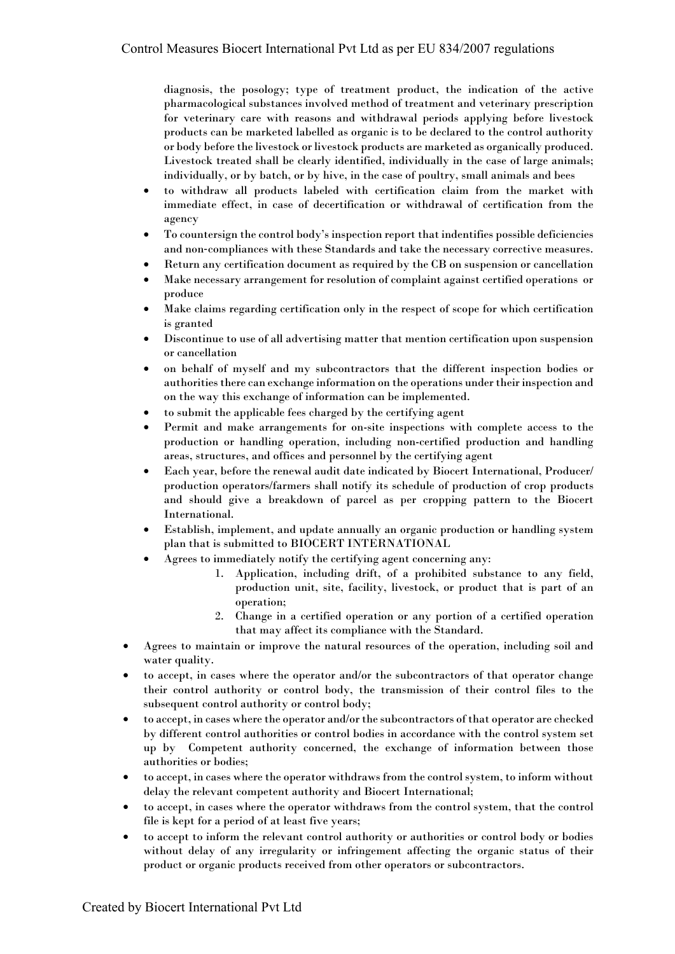diagnosis, the posology; type of treatment product, the indication of the active pharmacological substances involved method of treatment and veterinary prescription for veterinary care with reasons and withdrawal periods applying before livestock products can be marketed labelled as organic is to be declared to the control authority or body before the livestock or livestock products are marketed as organically produced. Livestock treated shall be clearly identified, individually in the case of large animals; individually, or by batch, or by hive, in the case of poultry, small animals and bees

- to withdraw all products labeled with certification claim from the market with immediate effect, in case of decertification or withdrawal of certification from the agency
- To countersign the control body's inspection report that indentifies possible deficiencies and non-compliances with these Standards and take the necessary corrective measures.
- Return any certification document as required by the CB on suspension or cancellation
- Make necessary arrangement for resolution of complaint against certified operations or produce
- Make claims regarding certification only in the respect of scope for which certification is granted
- Discontinue to use of all advertising matter that mention certification upon suspension or cancellation
- on behalf of myself and my subcontractors that the different inspection bodies or authorities there can exchange information on the operations under their inspection and on the way this exchange of information can be implemented.
- to submit the applicable fees charged by the certifying agent
- Permit and make arrangements for on-site inspections with complete access to the production or handling operation, including non-certified production and handling areas, structures, and offices and personnel by the certifying agent
- Each year, before the renewal audit date indicated by Biocert International, Producer/ production operators/farmers shall notify its schedule of production of crop products and should give a breakdown of parcel as per cropping pattern to the Biocert International.
- Establish, implement, and update annually an organic production or handling system plan that is submitted to BIOCERT INTERNATIONAL
- Agrees to immediately notify the certifying agent concerning any:
	- 1. Application, including drift, of a prohibited substance to any field, production unit, site, facility, livestock, or product that is part of an operation;
	- 2. Change in a certified operation or any portion of a certified operation that may affect its compliance with the Standard.
- Agrees to maintain or improve the natural resources of the operation, including soil and water quality.
- to accept, in cases where the operator and/or the subcontractors of that operator change their control authority or control body, the transmission of their control files to the subsequent control authority or control body;
- to accept, in cases where the operator and/or the subcontractors of that operator are checked by different control authorities or control bodies in accordance with the control system set up by Competent authority concerned, the exchange of information between those authorities or bodies;
- to accept, in cases where the operator withdraws from the control system, to inform without delay the relevant competent authority and Biocert International;
- to accept, in cases where the operator withdraws from the control system, that the control file is kept for a period of at least five years;
- to accept to inform the relevant control authority or authorities or control body or bodies without delay of any irregularity or infringement affecting the organic status of their product or organic products received from other operators or subcontractors.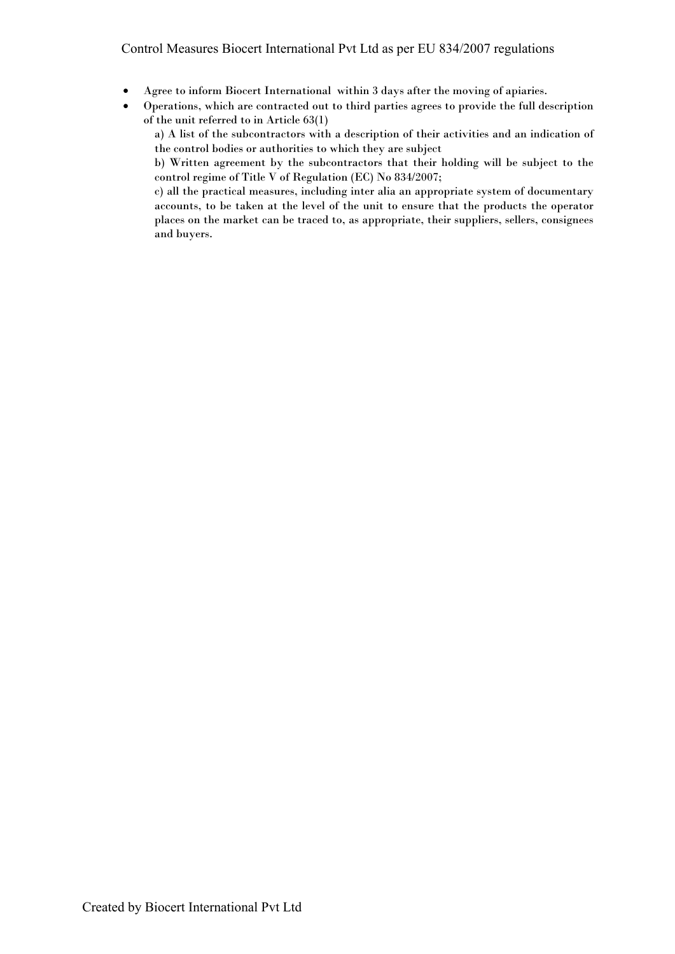- Agree to inform Biocert International within 3 days after the moving of apiaries.
- Operations, which are contracted out to third parties agrees to provide the full description of the unit referred to in Article 63(1)
	- a) A list of the subcontractors with a description of their activities and an indication of the control bodies or authorities to which they are subject

b) Written agreement by the subcontractors that their holding will be subject to the control regime of Title V of Regulation (EC) No 834/2007;

c) all the practical measures, including inter alia an appropriate system of documentary accounts, to be taken at the level of the unit to ensure that the products the operator places on the market can be traced to, as appropriate, their suppliers, sellers, consignees and buyers.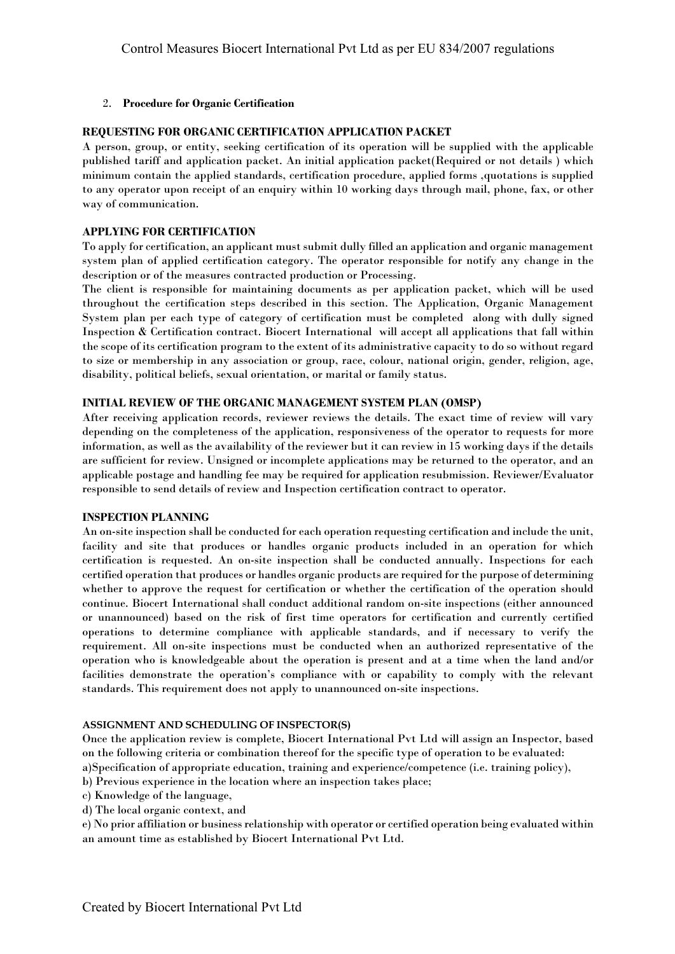## 2. **Procedure for Organic Certification**

## **REQUESTING FOR ORGANIC CERTIFICATION APPLICATION PACKET**

A person, group, or entity, seeking certification of its operation will be supplied with the applicable published tariff and application packet. An initial application packet(Required or not details ) which minimum contain the applied standards, certification procedure, applied forms ,quotations is supplied to any operator upon receipt of an enquiry within 10 working days through mail, phone, fax, or other way of communication.

## **APPLYING FOR CERTIFICATION**

To apply for certification, an applicant must submit dully filled an application and organic management system plan of applied certification category. The operator responsible for notify any change in the description or of the measures contracted production or Processing.

The client is responsible for maintaining documents as per application packet, which will be used throughout the certification steps described in this section. The Application, Organic Management System plan per each type of category of certification must be completed along with dully signed Inspection & Certification contract. Biocert International will accept all applications that fall within the scope of its certification program to the extent of its administrative capacity to do so without regard to size or membership in any association or group, race, colour, national origin, gender, religion, age, disability, political beliefs, sexual orientation, or marital or family status.

## **INITIAL REVIEW OF THE ORGANIC MANAGEMENT SYSTEM PLAN (OMSP)**

After receiving application records, reviewer reviews the details. The exact time of review will vary depending on the completeness of the application, responsiveness of the operator to requests for more information, as well as the availability of the reviewer but it can review in 15 working days if the details are sufficient for review. Unsigned or incomplete applications may be returned to the operator, and an applicable postage and handling fee may be required for application resubmission. Reviewer/Evaluator responsible to send details of review and Inspection certification contract to operator.

## **INSPECTION PLANNING**

An on-site inspection shall be conducted for each operation requesting certification and include the unit, facility and site that produces or handles organic products included in an operation for which certification is requested. An on-site inspection shall be conducted annually. Inspections for each certified operation that produces or handles organic products are required for the purpose of determining whether to approve the request for certification or whether the certification of the operation should continue. Biocert International shall conduct additional random on-site inspections (either announced or unannounced) based on the risk of first time operators for certification and currently certified operations to determine compliance with applicable standards, and if necessary to verify the requirement. All on-site inspections must be conducted when an authorized representative of the operation who is knowledgeable about the operation is present and at a time when the land and/or facilities demonstrate the operation's compliance with or capability to comply with the relevant standards. This requirement does not apply to unannounced on-site inspections.

## **ASSIGNMENT AND SCHEDULING OF INSPECTOR(S)**

Once the application review is complete, Biocert International Pvt Ltd will assign an Inspector, based on the following criteria or combination thereof for the specific type of operation to be evaluated:

- a)Specification of appropriate education, training and experience/competence (i.e. training policy), b) Previous experience in the location where an inspection takes place;
- c) Knowledge of the language,
- d) The local organic context, and

e) No prior affiliation or business relationship with operator or certified operation being evaluated within an amount time as established by Biocert International Pvt Ltd.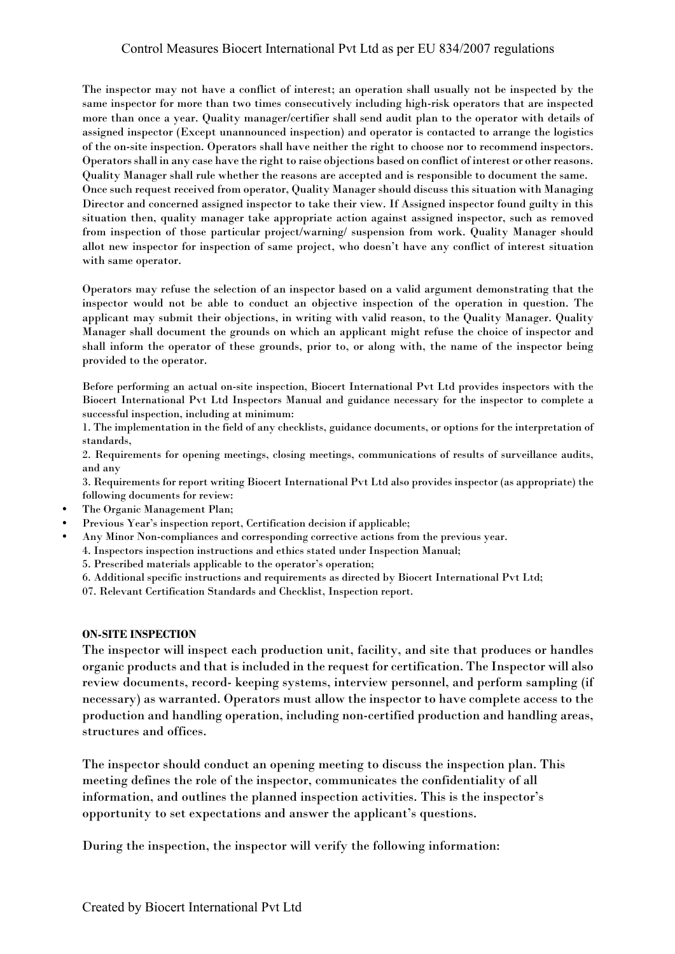The inspector may not have a conflict of interest; an operation shall usually not be inspected by the same inspector for more than two times consecutively including high-risk operators that are inspected more than once a year. Quality manager/certifier shall send audit plan to the operator with details of assigned inspector (Except unannounced inspection) and operator is contacted to arrange the logistics of the on-site inspection. Operators shall have neither the right to choose nor to recommend inspectors. Operators shall in any case have the right to raise objections based on conflict of interest or other reasons. Quality Manager shall rule whether the reasons are accepted and is responsible to document the same. Once such request received from operator, Quality Manager should discuss this situation with Managing Director and concerned assigned inspector to take their view. If Assigned inspector found guilty in this situation then, quality manager take appropriate action against assigned inspector, such as removed from inspection of those particular project/warning/ suspension from work. Quality Manager should allot new inspector for inspection of same project, who doesn't have any conflict of interest situation with same operator.

Operators may refuse the selection of an inspector based on a valid argument demonstrating that the inspector would not be able to conduct an objective inspection of the operation in question. The applicant may submit their objections, in writing with valid reason, to the Quality Manager. Quality Manager shall document the grounds on which an applicant might refuse the choice of inspector and shall inform the operator of these grounds, prior to, or along with, the name of the inspector being provided to the operator.

Before performing an actual on-site inspection, Biocert International Pvt Ltd provides inspectors with the Biocert International Pvt Ltd Inspectors Manual and guidance necessary for the inspector to complete a successful inspection, including at minimum:

1. The implementation in the field of any checklists, guidance documents, or options for the interpretation of standards,

2. Requirements for opening meetings, closing meetings, communications of results of surveillance audits, and any

3. Requirements for report writing Biocert International Pvt Ltd also provides inspector (as appropriate) the following documents for review:

- The Organic Management Plan;
- Previous Year's inspection report, Certification decision if applicable;
- Any Minor Non-compliances and corresponding corrective actions from the previous year.
	- 4. Inspectors inspection instructions and ethics stated under Inspection Manual;

5. Prescribed materials applicable to the operator's operation;

6. Additional specific instructions and requirements as directed by Biocert International Pvt Ltd;

07. Relevant Certification Standards and Checklist, Inspection report.

## **ON-SITE INSPECTION**

The inspector will inspect each production unit, facility, and site that produces or handles organic products and that is included in the request for certification. The Inspector will also review documents, record- keeping systems, interview personnel, and perform sampling (if necessary) as warranted. Operators must allow the inspector to have complete access to the production and handling operation, including non-certified production and handling areas, structures and offices.

The inspector should conduct an opening meeting to discuss the inspection plan. This meeting defines the role of the inspector, communicates the confidentiality of all information, and outlines the planned inspection activities. This is the inspector's opportunity to set expectations and answer the applicant's questions.

During the inspection, the inspector will verify the following information: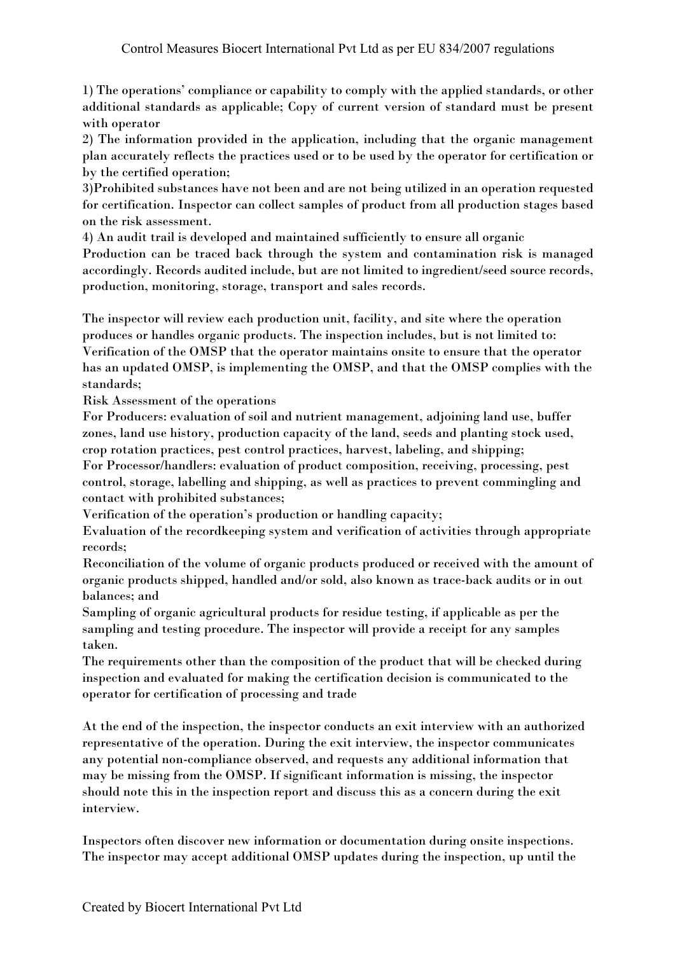1) The operations' compliance or capability to comply with the applied standards, or other additional standards as applicable; Copy of current version of standard must be present with operator

2) The information provided in the application, including that the organic management plan accurately reflects the practices used or to be used by the operator for certification or by the certified operation;

3)Prohibited substances have not been and are not being utilized in an operation requested for certification. Inspector can collect samples of product from all production stages based on the risk assessment.

4) An audit trail is developed and maintained sufficiently to ensure all organic

Production can be traced back through the system and contamination risk is managed accordingly. Records audited include, but are not limited to ingredient/seed source records, production, monitoring, storage, transport and sales records.

The inspector will review each production unit, facility, and site where the operation produces or handles organic products. The inspection includes, but is not limited to: Verification of the OMSP that the operator maintains onsite to ensure that the operator has an updated OMSP, is implementing the OMSP, and that the OMSP complies with the standards;

Risk Assessment of the operations

For Producers: evaluation of soil and nutrient management, adjoining land use, buffer zones, land use history, production capacity of the land, seeds and planting stock used, crop rotation practices, pest control practices, harvest, labeling, and shipping;

For Processor/handlers: evaluation of product composition, receiving, processing, pest control, storage, labelling and shipping, as well as practices to prevent commingling and contact with prohibited substances;

Verification of the operation's production or handling capacity;

Evaluation of the recordkeeping system and verification of activities through appropriate records;

Reconciliation of the volume of organic products produced or received with the amount of organic products shipped, handled and/or sold, also known as trace-back audits or in out balances; and

Sampling of organic agricultural products for residue testing, if applicable as per the sampling and testing procedure. The inspector will provide a receipt for any samples taken.

The requirements other than the composition of the product that will be checked during inspection and evaluated for making the certification decision is communicated to the operator for certification of processing and trade

At the end of the inspection, the inspector conducts an exit interview with an authorized representative of the operation. During the exit interview, the inspector communicates any potential non-compliance observed, and requests any additional information that may be missing from the OMSP. If significant information is missing, the inspector should note this in the inspection report and discuss this as a concern during the exit interview.

Inspectors often discover new information or documentation during onsite inspections. The inspector may accept additional OMSP updates during the inspection, up until the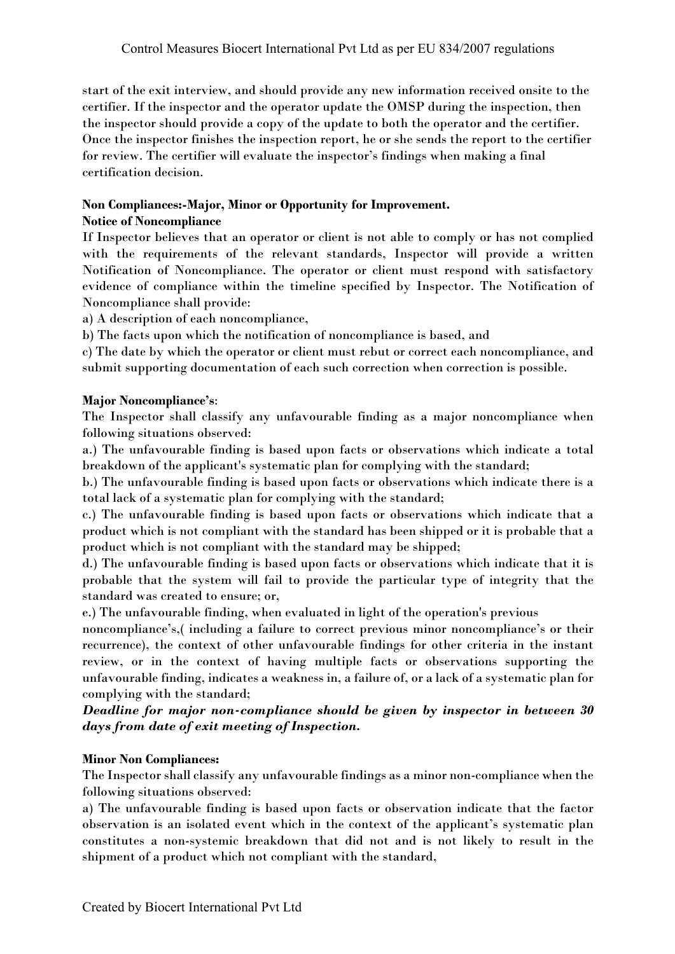start of the exit interview, and should provide any new information received onsite to the certifier. If the inspector and the operator update the OMSP during the inspection, then the inspector should provide a copy of the update to both the operator and the certifier. Once the inspector finishes the inspection report, he or she sends the report to the certifier for review. The certifier will evaluate the inspector's findings when making a final certification decision.

# **Non Compliances:-Major, Minor or Opportunity for Improvement.**

# **Notice of Noncompliance**

If Inspector believes that an operator or client is not able to comply or has not complied with the requirements of the relevant standards, Inspector will provide a written Notification of Noncompliance. The operator or client must respond with satisfactory evidence of compliance within the timeline specified by Inspector. The Notification of Noncompliance shall provide:

a) A description of each noncompliance,

b) The facts upon which the notification of noncompliance is based, and

c) The date by which the operator or client must rebut or correct each noncompliance, and submit supporting documentation of each such correction when correction is possible.

# **Major Noncompliance's**:

The Inspector shall classify any unfavourable finding as a major noncompliance when following situations observed:

a.) The unfavourable finding is based upon facts or observations which indicate a total breakdown of the applicant's systematic plan for complying with the standard;

b.) The unfavourable finding is based upon facts or observations which indicate there is a total lack of a systematic plan for complying with the standard;

c.) The unfavourable finding is based upon facts or observations which indicate that a product which is not compliant with the standard has been shipped or it is probable that a product which is not compliant with the standard may be shipped;

d.) The unfavourable finding is based upon facts or observations which indicate that it is probable that the system will fail to provide the particular type of integrity that the standard was created to ensure; or,

e.) The unfavourable finding, when evaluated in light of the operation's previous

noncompliance's,( including a failure to correct previous minor noncompliance's or their recurrence), the context of other unfavourable findings for other criteria in the instant review, or in the context of having multiple facts or observations supporting the unfavourable finding, indicates a weakness in, a failure of, or a lack of a systematic plan for complying with the standard;

*Deadline for major non-compliance should be given by inspector in between 30 days from date of exit meeting of Inspection.*

# **Minor Non Compliances:**

The Inspector shall classify any unfavourable findings as a minor non-compliance when the following situations observed:

a) The unfavourable finding is based upon facts or observation indicate that the factor observation is an isolated event which in the context of the applicant's systematic plan constitutes a non-systemic breakdown that did not and is not likely to result in the shipment of a product which not compliant with the standard,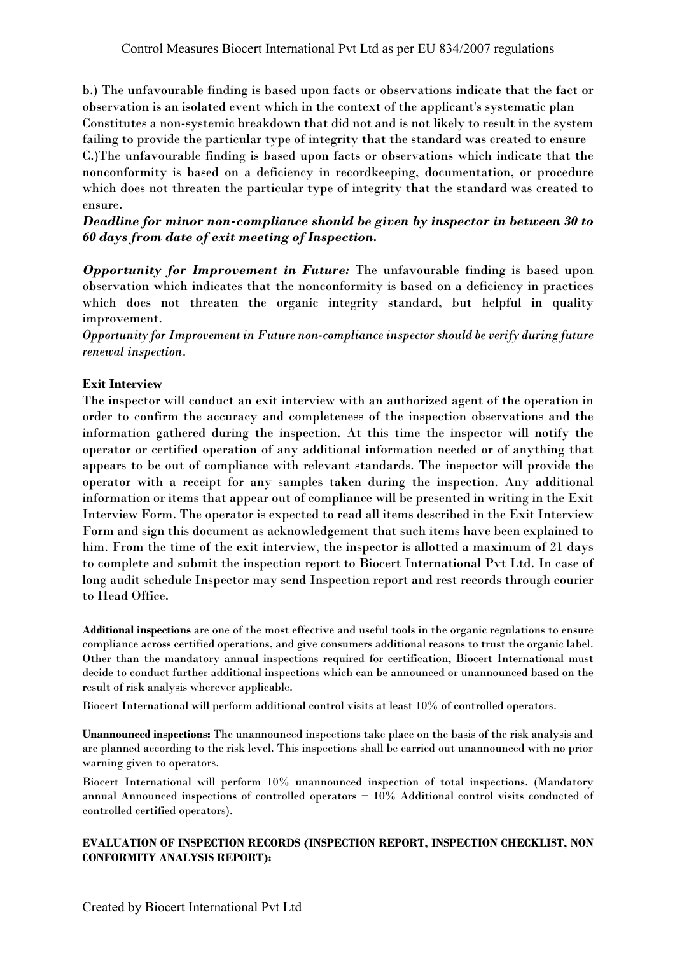b.) The unfavourable finding is based upon facts or observations indicate that the fact or observation is an isolated event which in the context of the applicant's systematic plan Constitutes a non-systemic breakdown that did not and is not likely to result in the system failing to provide the particular type of integrity that the standard was created to ensure C.)The unfavourable finding is based upon facts or observations which indicate that the nonconformity is based on a deficiency in recordkeeping, documentation, or procedure which does not threaten the particular type of integrity that the standard was created to ensure.

*Deadline for minor non-compliance should be given by inspector in between 30 to 60 days from date of exit meeting of Inspection.*

*Opportunity for Improvement in Future:* The unfavourable finding is based upon observation which indicates that the nonconformity is based on a deficiency in practices which does not threaten the organic integrity standard, but helpful in quality improvement.

*Opportunity for Improvement in Future non-compliance inspector should be verify during future renewal inspection.*

# **Exit Interview**

The inspector will conduct an exit interview with an authorized agent of the operation in order to confirm the accuracy and completeness of the inspection observations and the information gathered during the inspection. At this time the inspector will notify the operator or certified operation of any additional information needed or of anything that appears to be out of compliance with relevant standards. The inspector will provide the operator with a receipt for any samples taken during the inspection. Any additional information or items that appear out of compliance will be presented in writing in the Exit Interview Form. The operator is expected to read all items described in the Exit Interview Form and sign this document as acknowledgement that such items have been explained to him. From the time of the exit interview, the inspector is allotted a maximum of 21 days to complete and submit the inspection report to Biocert International Pvt Ltd. In case of long audit schedule Inspector may send Inspection report and rest records through courier to Head Office.

**Additional inspections** are one of the most effective and useful tools in the organic regulations to ensure compliance across certified operations, and give consumers additional reasons to trust the organic label. Other than the mandatory annual inspections required for certification, Biocert International must decide to conduct further additional inspections which can be announced or unannounced based on the result of risk analysis wherever applicable.

Biocert International will perform additional control visits at least 10% of controlled operators.

**Unannounced inspections:** The unannounced inspections take place on the basis of the risk analysis and are planned according to the risk level. This inspections shall be carried out unannounced with no prior warning given to operators.

Biocert International will perform 10% unannounced inspection of total inspections. (Mandatory annual Announced inspections of controlled operators + 10% Additional control visits conducted of controlled certified operators).

## **EVALUATION OF INSPECTION RECORDS (INSPECTION REPORT, INSPECTION CHECKLIST, NON CONFORMITY ANALYSIS REPORT):**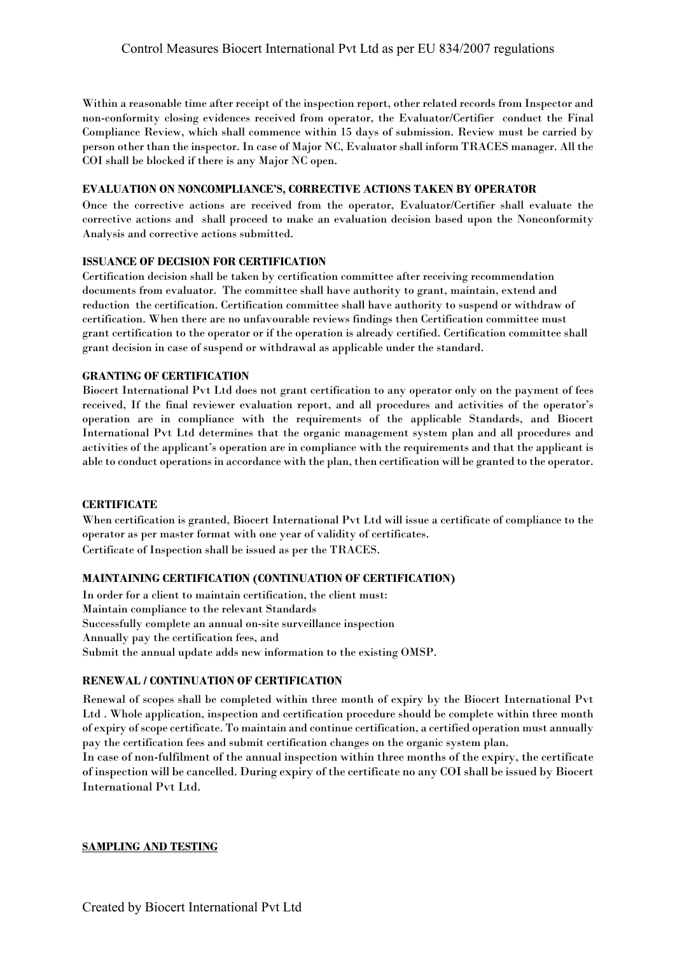Within a reasonable time after receipt of the inspection report, other related records from Inspector and non-conformity closing evidences received from operator, the Evaluator/Certifier conduct the Final Compliance Review, which shall commence within 15 days of submission. Review must be carried by person other than the inspector. In case of Major NC, Evaluator shall inform TRACES manager. All the COI shall be blocked if there is any Major NC open.

## **EVALUATION ON NONCOMPLIANCE'S, CORRECTIVE ACTIONS TAKEN BY OPERATOR**

Once the corrective actions are received from the operator, Evaluator/Certifier shall evaluate the corrective actions and shall proceed to make an evaluation decision based upon the Nonconformity Analysis and corrective actions submitted.

## **ISSUANCE OF DECISION FOR CERTIFICATION**

Certification decision shall be taken by certification committee after receiving recommendation documents from evaluator. The committee shall have authority to grant, maintain, extend and reduction the certification. Certification committee shall have authority to suspend or withdraw of certification. When there are no unfavourable reviews findings then Certification committee must grant certification to the operator or if the operation is already certified. Certification committee shall grant decision in case of suspend or withdrawal as applicable under the standard.

#### **GRANTING OF CERTIFICATION**

Biocert International Pvt Ltd does not grant certification to any operator only on the payment of fees received, If the final reviewer evaluation report, and all procedures and activities of the operator's operation are in compliance with the requirements of the applicable Standards, and Biocert International Pvt Ltd determines that the organic management system plan and all procedures and activities of the applicant's operation are in compliance with the requirements and that the applicant is able to conduct operations in accordance with the plan, then certification will be granted to the operator.

#### **CERTIFICATE**

When certification is granted, Biocert International Pvt Ltd will issue a certificate of compliance to the operator as per master format with one year of validity of certificates. Certificate of Inspection shall be issued as per the TRACES.

## **MAINTAINING CERTIFICATION (CONTINUATION OF CERTIFICATION)**

In order for a client to maintain certification, the client must: Maintain compliance to the relevant Standards Successfully complete an annual on-site surveillance inspection Annually pay the certification fees, and Submit the annual update adds new information to the existing OMSP.

## **RENEWAL / CONTINUATION OF CERTIFICATION**

Renewal of scopes shall be completed within three month of expiry by the Biocert International Pvt Ltd . Whole application, inspection and certification procedure should be complete within three month of expiry of scope certificate. To maintain and continue certification, a certified operation must annually pay the certification fees and submit certification changes on the organic system plan.

In case of non-fulfilment of the annual inspection within three months of the expiry, the certificate of inspection will be cancelled. During expiry of the certificate no any COI shall be issued by Biocert International Pvt Ltd.

## **SAMPLING AND TESTING**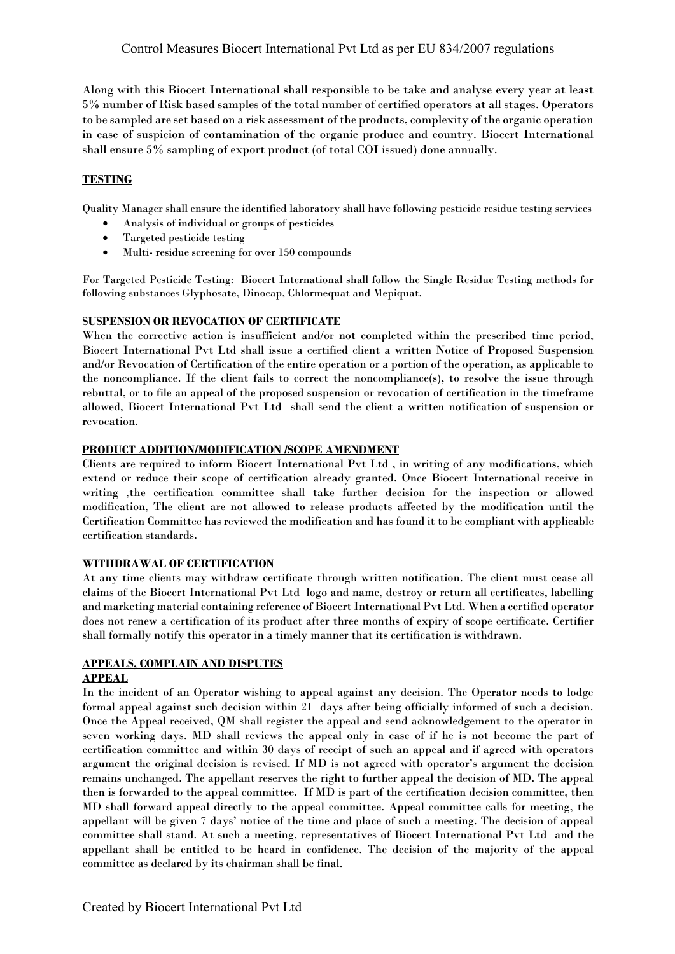Along with this Biocert International shall responsible to be take and analyse every year at least 5% number of Risk based samples of the total number of certified operators at all stages. Operators to be sampled are set based on a risk assessment of the products, complexity of the organic operation in case of suspicion of contamination of the organic produce and country. Biocert International shall ensure 5% sampling of export product (of total COI issued) done annually.

# **TESTING**

Quality Manager shall ensure the identified laboratory shall have following pesticide residue testing services

- Analysis of individual or groups of pesticides
- Targeted pesticide testing
- Multi- residue screening for over 150 compounds

For Targeted Pesticide Testing: Biocert International shall follow the Single Residue Testing methods for following substances Glyphosate, Dinocap, Chlormequat and Mepiquat.

## **SUSPENSION OR REVOCATION OF CERTIFICATE**

When the corrective action is insufficient and/or not completed within the prescribed time period, Biocert International Pvt Ltd shall issue a certified client a written Notice of Proposed Suspension and/or Revocation of Certification of the entire operation or a portion of the operation, as applicable to the noncompliance. If the client fails to correct the noncompliance(s), to resolve the issue through rebuttal, or to file an appeal of the proposed suspension or revocation of certification in the timeframe allowed, Biocert International Pvt Ltd shall send the client a written notification of suspension or revocation.

## **PRODUCT ADDITION/MODIFICATION /SCOPE AMENDMENT**

Clients are required to inform Biocert International Pvt Ltd , in writing of any modifications, which extend or reduce their scope of certification already granted. Once Biocert International receive in writing ,the certification committee shall take further decision for the inspection or allowed modification, The client are not allowed to release products affected by the modification until the Certification Committee has reviewed the modification and has found it to be compliant with applicable certification standards.

## **WITHDRAWAL OF CERTIFICATION**

At any time clients may withdraw certificate through written notification. The client must cease all claims of the Biocert International Pvt Ltd logo and name, destroy or return all certificates, labelling and marketing material containing reference of Biocert International Pvt Ltd. When a certified operator does not renew a certification of its product after three months of expiry of scope certificate. Certifier shall formally notify this operator in a timely manner that its certification is withdrawn.

## **APPEALS, COMPLAIN AND DISPUTES**

## **APPEAL**

In the incident of an Operator wishing to appeal against any decision. The Operator needs to lodge formal appeal against such decision within 21 days after being officially informed of such a decision. Once the Appeal received, QM shall register the appeal and send acknowledgement to the operator in seven working days. MD shall reviews the appeal only in case of if he is not become the part of certification committee and within 30 days of receipt of such an appeal and if agreed with operators argument the original decision is revised. If MD is not agreed with operator's argument the decision remains unchanged. The appellant reserves the right to further appeal the decision of MD. The appeal then is forwarded to the appeal committee. If MD is part of the certification decision committee, then MD shall forward appeal directly to the appeal committee. Appeal committee calls for meeting, the appellant will be given 7 days' notice of the time and place of such a meeting. The decision of appeal committee shall stand. At such a meeting, representatives of Biocert International Pvt Ltd and the appellant shall be entitled to be heard in confidence. The decision of the majority of the appeal committee as declared by its chairman shall be final.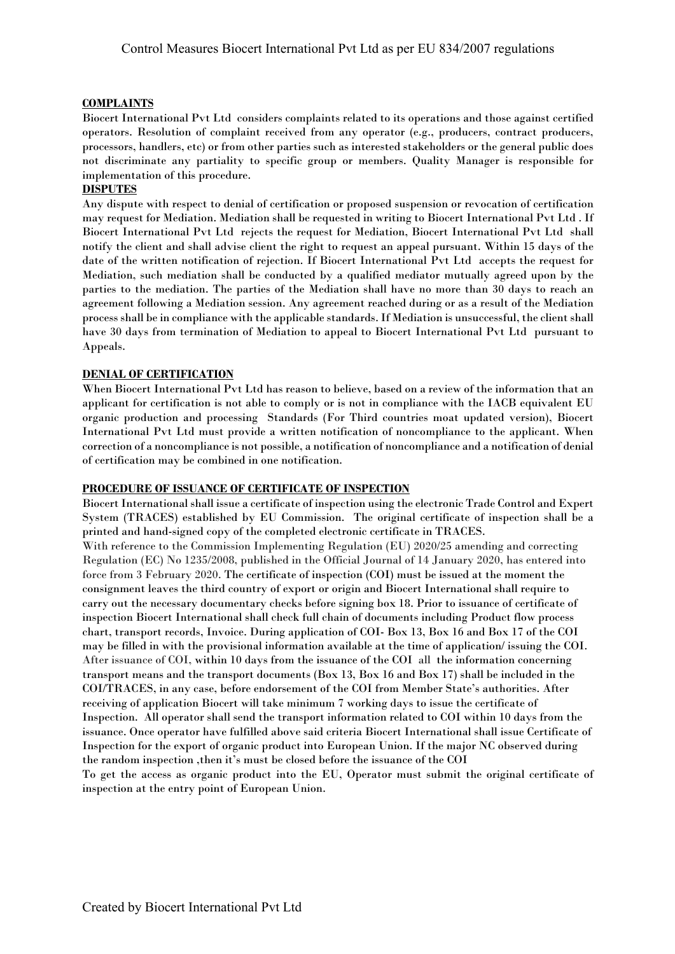## **COMPLAINTS**

Biocert International Pvt Ltd considers complaints related to its operations and those against certified operators. Resolution of complaint received from any operator (e.g., producers, contract producers, processors, handlers, etc) or from other parties such as interested stakeholders or the general public does not discriminate any partiality to specific group or members. Quality Manager is responsible for implementation of this procedure.

## **DISPUTES**

Any dispute with respect to denial of certification or proposed suspension or revocation of certification may request for Mediation. Mediation shall be requested in writing to Biocert International Pvt Ltd . If Biocert International Pvt Ltd rejects the request for Mediation, Biocert International Pvt Ltd shall notify the client and shall advise client the right to request an appeal pursuant. Within 15 days of the date of the written notification of rejection. If Biocert International Pvt Ltd accepts the request for Mediation, such mediation shall be conducted by a qualified mediator mutually agreed upon by the parties to the mediation. The parties of the Mediation shall have no more than 30 days to reach an agreement following a Mediation session. Any agreement reached during or as a result of the Mediation process shall be in compliance with the applicable standards. If Mediation is unsuccessful, the client shall have 30 days from termination of Mediation to appeal to Biocert International Pvt Ltd pursuant to Appeals.

#### **DENIAL OF CERTIFICATION**

When Biocert International Pvt Ltd has reason to believe, based on a review of the information that an applicant for certification is not able to comply or is not in compliance with the IACB equivalent EU organic production and processing Standards (For Third countries moat updated version), Biocert International Pvt Ltd must provide a written notification of noncompliance to the applicant. When correction of a noncompliance is not possible, a notification of noncompliance and a notification of denial of certification may be combined in one notification.

#### **PROCEDURE OF ISSUANCE OF CERTIFICATE OF INSPECTION**

Biocert International shall issue a certificate of inspection using the electronic Trade Control and Expert System (TRACES) established by EU Commission. The original certificate of inspection shall be a printed and hand-signed copy of the completed electronic certificate in TRACES. With reference to the Commission Implementing Regulation (EU) 2020/25 amending and correcting Regulation (EC) No 1235/2008, published in the Official Journal of 14 January 2020, has entered into force from 3 February 2020. The certificate of inspection (COI) must be issued at the moment the consignment leaves the third country of export or origin and Biocert International shall require to carry out the necessary documentary checks before signing box 18. Prior to issuance of certificate of inspection Biocert International shall check full chain of documents including Product flow process chart, transport records, Invoice. During application of COI- Box 13, Box 16 and Box 17 of the COI may be filled in with the provisional information available at the time of application/ issuing the COI. After issuance of COI, within 10 days from the issuance of the COI all the information concerning transport means and the transport documents (Box 13, Box 16 and Box 17) shall be included in the COI/TRACES, in any case, before endorsement of the COI from Member State's authorities. After receiving of application Biocert will take minimum 7 working days to issue the certificate of Inspection. All operator shall send the transport information related to COI within 10 days from the issuance. Once operator have fulfilled above said criteria Biocert International shall issue Certificate of Inspection for the export of organic product into European Union. If the major NC observed during the random inspection ,then it's must be closed before the issuance of the COI

To get the access as organic product into the EU, Operator must submit the original certificate of inspection at the entry point of European Union.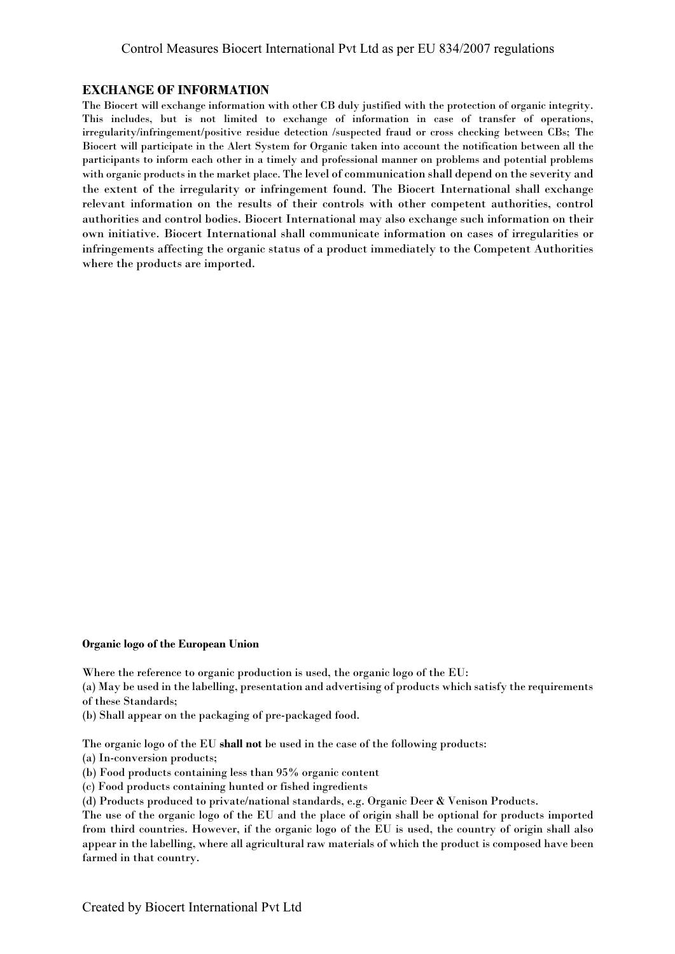## **EXCHANGE OF INFORMATION**

The Biocert will exchange information with other CB duly justified with the protection of organic integrity. This includes, but is not limited to exchange of information in case of transfer of operations, irregularity/infringement/positive residue detection /suspected fraud or cross checking between CBs; The Biocert will participate in the Alert System for Organic taken into account the notification between all the participants to inform each other in a timely and professional manner on problems and potential problems with organic products in the market place. The level of communication shall depend on the severity and the extent of the irregularity or infringement found. The Biocert International shall exchange relevant information on the results of their controls with other competent authorities, control authorities and control bodies. Biocert International may also exchange such information on their own initiative. Biocert International shall communicate information on cases of irregularities or infringements affecting the organic status of a product immediately to the Competent Authorities where the products are imported.

#### **Organic logo of the European Union**

Where the reference to organic production is used, the organic logo of the EU:

(a) May be used in the labelling, presentation and advertising of products which satisfy the requirements of these Standards;

(b) Shall appear on the packaging of pre-packaged food.

The organic logo of the EU **shall not** be used in the case of the following products:

(a) In-conversion products;

(b) Food products containing less than 95% organic content

(c) Food products containing hunted or fished ingredients

(d) Products produced to private/national standards, e.g. Organic Deer & Venison Products.

The use of the organic logo of the EU and the place of origin shall be optional for products imported from third countries. However, if the organic logo of the EU is used, the country of origin shall also appear in the labelling, where all agricultural raw materials of which the product is composed have been farmed in that country.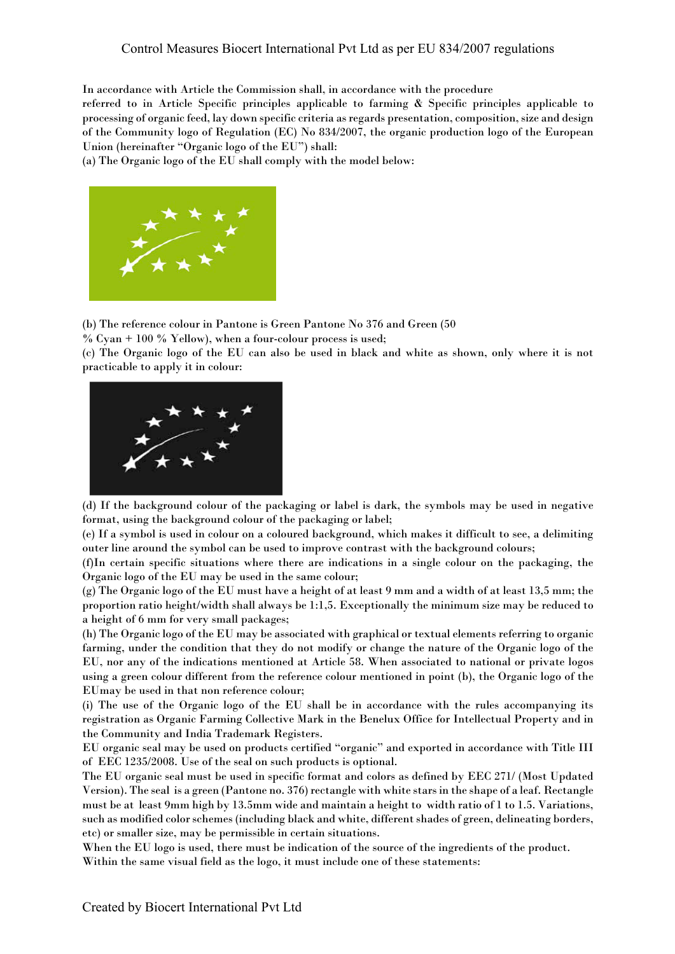In accordance with Article the Commission shall, in accordance with the procedure

referred to in Article Specific principles applicable to farming & Specific principles applicable to processing of organic feed, lay down specific criteria as regards presentation, composition, size and design of the Community logo of Regulation (EC) No 834/2007, the organic production logo of the European Union (hereinafter "Organic logo of the EU") shall:

(a) The Organic logo of the EU shall comply with the model below:



(b) The reference colour in Pantone is Green Pantone No 376 and Green (50

 $%$  Cyan + 100  $%$  Yellow), when a four-colour process is used;

(c) The Organic logo of the EU can also be used in black and white as shown, only where it is not practicable to apply it in colour:



(d) If the background colour of the packaging or label is dark, the symbols may be used in negative format, using the background colour of the packaging or label;

(e) If a symbol is used in colour on a coloured background, which makes it difficult to see, a delimiting outer line around the symbol can be used to improve contrast with the background colours;

(f)In certain specific situations where there are indications in a single colour on the packaging, the Organic logo of the EU may be used in the same colour;

(g) The Organic logo of the EU must have a height of at least 9 mm and a width of at least 13,5 mm; the proportion ratio height/width shall always be 1:1,5. Exceptionally the minimum size may be reduced to a height of 6 mm for very small packages;

(h) The Organic logo of the EU may be associated with graphical or textual elements referring to organic farming, under the condition that they do not modify or change the nature of the Organic logo of the EU, nor any of the indications mentioned at Article 58. When associated to national or private logos using a green colour different from the reference colour mentioned in point (b), the Organic logo of the EUmay be used in that non reference colour;

(i) The use of the Organic logo of the EU shall be in accordance with the rules accompanying its registration as Organic Farming Collective Mark in the Benelux Office for Intellectual Property and in the Community and India Trademark Registers.

EU organic seal may be used on products certified "organic" and exported in accordance with Title III of EEC 1235/2008. Use of the seal on such products is optional.

The EU organic seal must be used in specific format and colors as defined by EEC 271/ (Most Updated Version). The seal is a green (Pantone no. 376) rectangle with white stars in the shape of a leaf. Rectangle must be at least 9mm high by 13.5mm wide and maintain a height to width ratio of 1 to 1.5. Variations, such as modified color schemes (including black and white, different shades of green, delineating borders, etc) or smaller size, may be permissible in certain situations.

When the EU logo is used, there must be indication of the source of the ingredients of the product. Within the same visual field as the logo, it must include one of these statements: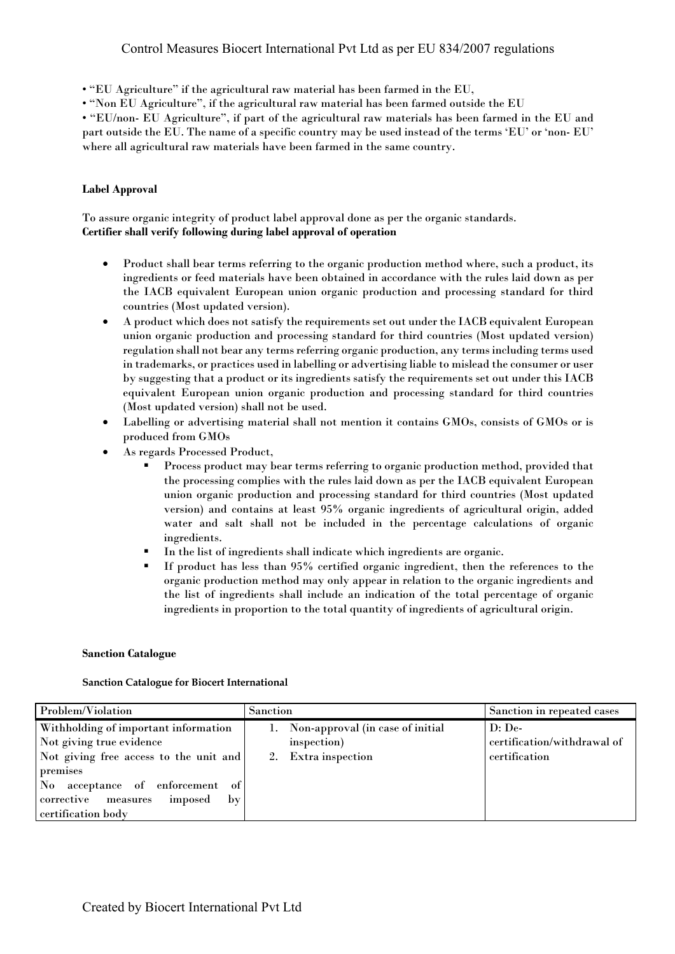• "EU Agriculture" if the agricultural raw material has been farmed in the EU,

• "Non EU Agriculture", if the agricultural raw material has been farmed outside the EU

• "EU/non- EU Agriculture", if part of the agricultural raw materials has been farmed in the EU and part outside the EU. The name of a specific country may be used instead of the terms 'EU' or 'non- EU' where all agricultural raw materials have been farmed in the same country.

## **Label Approval**

To assure organic integrity of product label approval done as per the organic standards. **Certifier shall verify following during label approval of operation**

- Product shall bear terms referring to the organic production method where, such a product, its ingredients or feed materials have been obtained in accordance with the rules laid down as per the IACB equivalent European union organic production and processing standard for third countries (Most updated version).
- A product which does not satisfy the requirements set out under the IACB equivalent European union organic production and processing standard for third countries (Most updated version) regulation shall not bear any terms referring organic production, any terms including terms used in trademarks, or practices used in labelling or advertising liable to mislead the consumer or user by suggesting that a product or its ingredients satisfy the requirements set out under this IACB equivalent European union organic production and processing standard for third countries (Most updated version) shall not be used.
- Labelling or advertising material shall not mention it contains GMOs, consists of GMOs or is produced from GMOs
- As regards Processed Product.
	- § Process product may bear terms referring to organic production method, provided that the processing complies with the rules laid down as per the IACB equivalent European union organic production and processing standard for third countries (Most updated version) and contains at least 95% organic ingredients of agricultural origin, added water and salt shall not be included in the percentage calculations of organic ingredients.
	- In the list of ingredients shall indicate which ingredients are organic.
	- If product has less than 95% certified organic ingredient, then the references to the organic production method may only appear in relation to the organic ingredients and the list of ingredients shall include an indication of the total percentage of organic ingredients in proportion to the total quantity of ingredients of agricultural origin.

#### **Sanction Catalogue**

#### **Sanction Catalogue for Biocert International**

| Problem/Violation                                                                                                                                                                                                                            | Sanction                                                                  | Sanction in repeated cases                               |
|----------------------------------------------------------------------------------------------------------------------------------------------------------------------------------------------------------------------------------------------|---------------------------------------------------------------------------|----------------------------------------------------------|
| Withholding of important information<br>Not giving true evidence<br>Not giving free access to the unit and<br>premises<br>No acceptance of enforcement of<br>corrective measures<br>imposed<br>$\mathbf{b} \mathbf{v}$<br>certification body | 1. Non-approval (in case of initial<br>inspection)<br>2. Extra inspection | $D:$ De-<br>certification/withdrawal of<br>certification |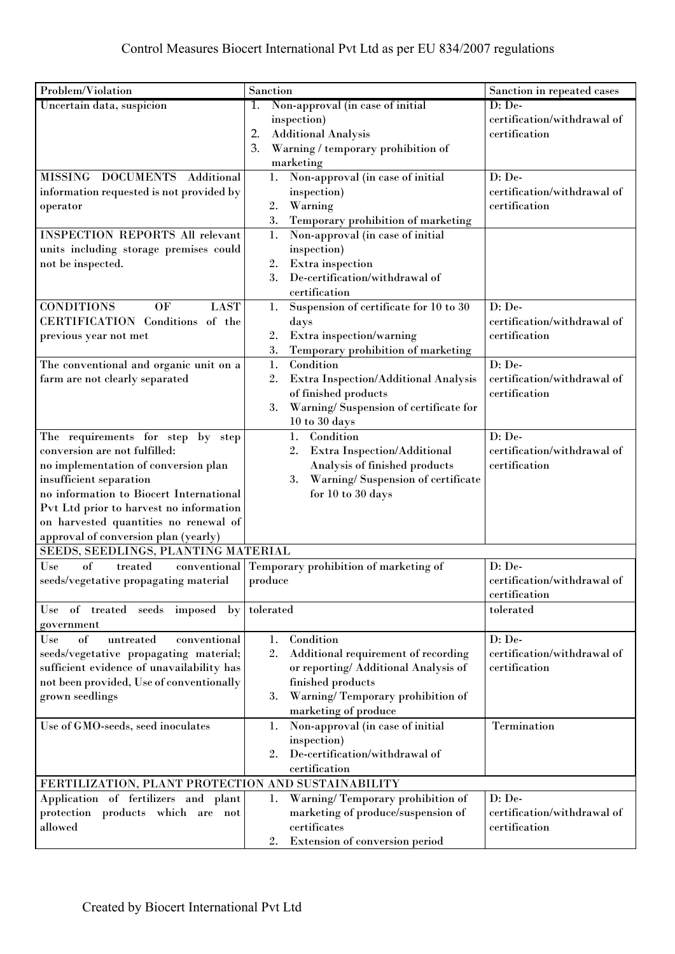| Problem/Violation                                  | Sanction                                          | Sanction in repeated cases  |  |
|----------------------------------------------------|---------------------------------------------------|-----------------------------|--|
| Uncertain data, suspicion                          | Non-approval (in case of initial<br>1.            | $D: De-$                    |  |
|                                                    | inspection)                                       | certification/withdrawal of |  |
|                                                    | <b>Additional Analysis</b><br>2.                  | certification               |  |
|                                                    | 3.<br>Warning / temporary prohibition of          |                             |  |
|                                                    | marketing                                         |                             |  |
| MISSING DOCUMENTS<br>Additional                    | Non-approval (in case of initial<br>1.            | D: De-                      |  |
| information requested is not provided by           | inspection)                                       | certification/withdrawal of |  |
| operator                                           | 2.<br>Warning                                     | certification               |  |
|                                                    | 3.<br>Temporary prohibition of marketing          |                             |  |
| <b>INSPECTION REPORTS All relevant</b>             | Non-approval (in case of initial<br>1.            |                             |  |
| units including storage premises could             | inspection)                                       |                             |  |
| not be inspected.                                  | $2. \,$<br>Extra inspection                       |                             |  |
|                                                    | 3.<br>De-certification/withdrawal of              |                             |  |
|                                                    | certification                                     |                             |  |
| <b>CONDITIONS</b><br>OF<br><b>LAST</b>             | Suspension of certificate for 10 to 30<br>1.      | $D: De-$                    |  |
| CERTIFICATION Conditions of the                    | days                                              | certification/withdrawal of |  |
| previous year not met                              | Extra inspection/warning<br>2.                    | certification               |  |
|                                                    | 3.<br>Temporary prohibition of marketing          |                             |  |
| The conventional and organic unit on a             | 1.<br>Condition                                   | D: De-                      |  |
| farm are not clearly separated                     | 2.<br><b>Extra Inspection/Additional Analysis</b> | certification/withdrawal of |  |
|                                                    | of finished products                              | certification               |  |
|                                                    | 3.<br>Warning/Suspension of certificate for       |                             |  |
|                                                    | $10$ to $30$ days                                 |                             |  |
| The requirements for step by step                  | 1.<br>Condition                                   | $D: De-$                    |  |
| conversion are not fulfilled:                      | 2.<br>Extra Inspection/Additional                 | certification/withdrawal of |  |
| no implementation of conversion plan               | Analysis of finished products                     | certification               |  |
| insufficient separation                            | Warning/ Suspension of certificate<br>3.          |                             |  |
| no information to Biocert International            | for 10 to 30 days                                 |                             |  |
| Pvt Ltd prior to harvest no information            |                                                   |                             |  |
| on harvested quantities no renewal of              |                                                   |                             |  |
| approval of conversion plan (yearly)               |                                                   |                             |  |
| SEEDS, SEEDLINGS, PLANTING MATERIAL                |                                                   |                             |  |
| of<br>Use<br>treated<br>conventional               | Temporary prohibition of marketing of             | D: De-                      |  |
| seeds/vegetative propagating material              | produce                                           | certification/withdrawal of |  |
|                                                    |                                                   | certification               |  |
| Use of treated seeds imposed by tolerated          |                                                   | tolerated                   |  |
| government                                         |                                                   |                             |  |
| Use<br>of<br>untreated<br>conventional             | Condition<br>1.                                   | $D: De-$                    |  |
| seeds/vegetative propagating material;             | 2.<br>Additional requirement of recording         | certification/withdrawal of |  |
| sufficient evidence of unavailability has          | or reporting/ Additional Analysis of              | certification               |  |
| not been provided, Use of conventionally           | finished products                                 |                             |  |
| grown seedlings                                    | Warning/Temporary prohibition of<br>3.            |                             |  |
|                                                    | marketing of produce                              |                             |  |
| Use of GMO-seeds, seed inoculates                  | Non-approval (in case of initial<br>1.            | Termination                 |  |
|                                                    | inspection)                                       |                             |  |
|                                                    | De-certification/withdrawal of<br>2.              |                             |  |
|                                                    | certification                                     |                             |  |
| FERTILIZATION, PLANT PROTECTION AND SUSTAINABILITY |                                                   |                             |  |
| Application of fertilizers and plant               | Warning/Temporary prohibition of<br>1.            | $D: De-$                    |  |
| protection products which are not                  | marketing of produce/suspension of                | certification/withdrawal of |  |
| allowed                                            | certificates                                      | certification               |  |
|                                                    | Extension of conversion period<br>2.              |                             |  |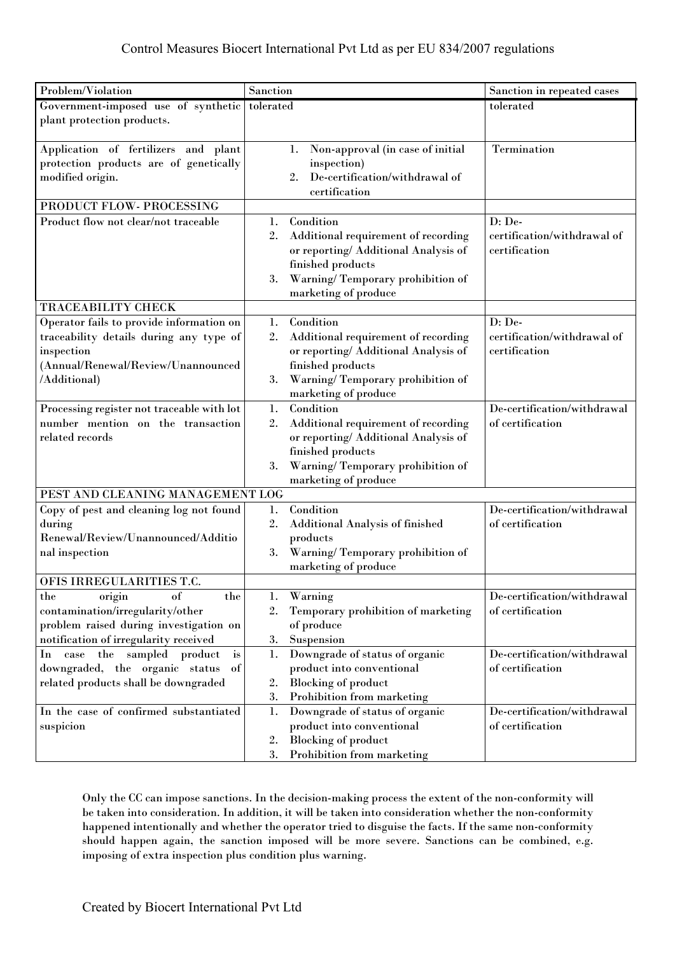| Problem/Violation                                     | Sanction                                                                                                                                                                                                    | Sanction in repeated cases                      |
|-------------------------------------------------------|-------------------------------------------------------------------------------------------------------------------------------------------------------------------------------------------------------------|-------------------------------------------------|
| Government-imposed use of synthetic                   | tolerated                                                                                                                                                                                                   | tolerated                                       |
| plant protection products.                            |                                                                                                                                                                                                             |                                                 |
| Application of fertilizers and plant                  | Non-approval (in case of initial<br>1.                                                                                                                                                                      | Termination                                     |
| protection products are of genetically                | inspection)                                                                                                                                                                                                 |                                                 |
| modified origin.                                      | De-certification/withdrawal of<br>2.                                                                                                                                                                        |                                                 |
|                                                       | certification                                                                                                                                                                                               |                                                 |
| PRODUCT FLOW- PROCESSING                              |                                                                                                                                                                                                             |                                                 |
| Product flow not clear/not traceable                  | Condition<br>1.                                                                                                                                                                                             | D: De-                                          |
|                                                       | 2.<br>Additional requirement of recording                                                                                                                                                                   | certification/withdrawal of                     |
|                                                       | or reporting/ Additional Analysis of                                                                                                                                                                        | certification                                   |
|                                                       | finished products                                                                                                                                                                                           |                                                 |
|                                                       | Warning/Temporary prohibition of<br>3.<br>marketing of produce                                                                                                                                              |                                                 |
| TRACEABILITY CHECK                                    |                                                                                                                                                                                                             |                                                 |
| Operator fails to provide information on              | Condition<br>1.                                                                                                                                                                                             | D: De-                                          |
| traceability details during any type of               | 2.<br>Additional requirement of recording                                                                                                                                                                   | certification/withdrawal of                     |
| inspection                                            | or reporting/ Additional Analysis of                                                                                                                                                                        | certification                                   |
| (Annual/Renewal/Review/Unannounced                    | finished products                                                                                                                                                                                           |                                                 |
| /Additional)                                          | Warning/Temporary prohibition of<br>3.                                                                                                                                                                      |                                                 |
|                                                       | marketing of produce                                                                                                                                                                                        |                                                 |
| Processing register not traceable with lot            | Condition<br>1.                                                                                                                                                                                             | De-certification/withdrawal                     |
| number mention on the transaction<br>related records  | 2.<br>Additional requirement of recording<br>or reporting/ Additional Analysis of                                                                                                                           | of certification                                |
|                                                       | finished products                                                                                                                                                                                           |                                                 |
|                                                       | Warning/Temporary prohibition of<br>3.                                                                                                                                                                      |                                                 |
|                                                       | marketing of produce                                                                                                                                                                                        |                                                 |
| PEST AND CLEANING MANAGEMENT LOG                      |                                                                                                                                                                                                             |                                                 |
| Copy of pest and cleaning log not found               | Condition<br>1.                                                                                                                                                                                             | De-certification/withdrawal                     |
| during                                                | <b>Additional Analysis of finished</b><br>2.                                                                                                                                                                | of certification                                |
| Renewal/Review/Unannounced/Additio                    | products                                                                                                                                                                                                    |                                                 |
| nal inspection                                        | Warning/Temporary prohibition of<br>3.                                                                                                                                                                      |                                                 |
| OFIS IRREGULARITIES T.C.                              | marketing of produce                                                                                                                                                                                        |                                                 |
| the<br>of<br>origin<br>the                            | Warning<br>1.                                                                                                                                                                                               | De-certification/withdrawal                     |
| contamination/irregularity/other                      | Temporary prohibition of marketing<br>2.                                                                                                                                                                    | of certification                                |
| problem raised during investigation on                | of produce                                                                                                                                                                                                  |                                                 |
| notification of irregularity received                 | Suspension<br>3.                                                                                                                                                                                            |                                                 |
| In case the sampled product<br>$\mathbf{i}\mathbf{s}$ | Downgrade of status of organic<br>1.                                                                                                                                                                        | De-certification/withdrawal                     |
| downgraded, the organic status<br>of                  | product into conventional                                                                                                                                                                                   | of certification                                |
| related products shall be downgraded                  | 2.                                                                                                                                                                                                          |                                                 |
|                                                       |                                                                                                                                                                                                             |                                                 |
|                                                       |                                                                                                                                                                                                             |                                                 |
|                                                       |                                                                                                                                                                                                             |                                                 |
|                                                       |                                                                                                                                                                                                             |                                                 |
| In the case of confirmed substantiated<br>suspicion   | <b>Blocking of product</b><br>3.<br>Prohibition from marketing<br>1.<br>Downgrade of status of organic<br>product into conventional<br><b>Blocking of product</b><br>2.<br>3.<br>Prohibition from marketing | De-certification/withdrawal<br>of certification |

Only the CC can impose sanctions. In the decision-making process the extent of the non-conformity will be taken into consideration. In addition, it will be taken into consideration whether the non-conformity happened intentionally and whether the operator tried to disguise the facts. If the same non-conformity should happen again, the sanction imposed will be more severe. Sanctions can be combined, e.g. imposing of extra inspection plus condition plus warning.